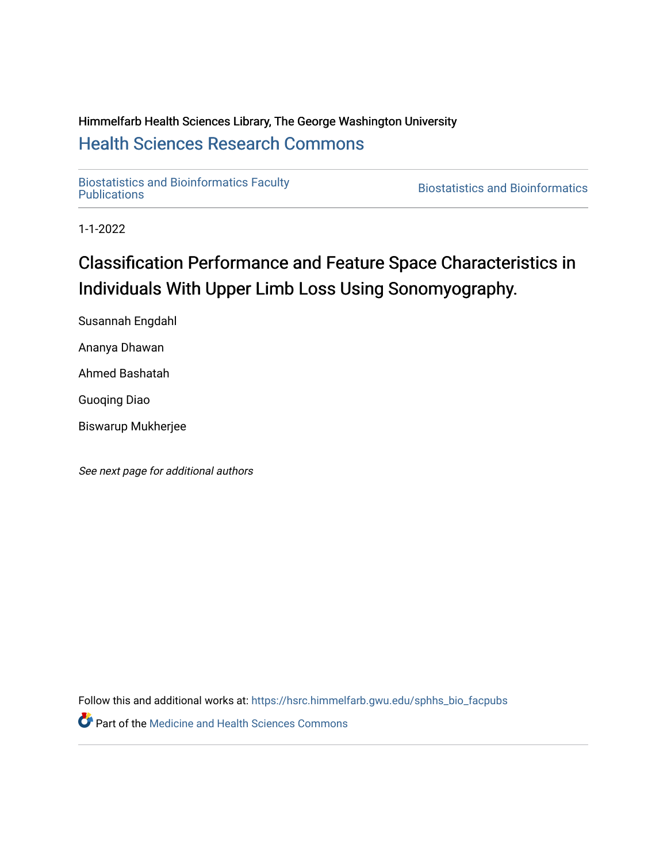# Himmelfarb Health Sciences Library, The George Washington University [Health Sciences Research Commons](https://hsrc.himmelfarb.gwu.edu/)

[Biostatistics and Bioinformatics Faculty](https://hsrc.himmelfarb.gwu.edu/sphhs_bio_facpubs) 

**Biostatistics and Bioinformatics** 

1-1-2022

# Classification Performance and Feature Space Characteristics in Individuals With Upper Limb Loss Using Sonomyography.

Susannah Engdahl Ananya Dhawan

Ahmed Bashatah

Guoqing Diao

Biswarup Mukherjee

See next page for additional authors

Follow this and additional works at: [https://hsrc.himmelfarb.gwu.edu/sphhs\\_bio\\_facpubs](https://hsrc.himmelfarb.gwu.edu/sphhs_bio_facpubs?utm_source=hsrc.himmelfarb.gwu.edu%2Fsphhs_bio_facpubs%2F147&utm_medium=PDF&utm_campaign=PDFCoverPages) **Part of the Medicine and Health Sciences Commons**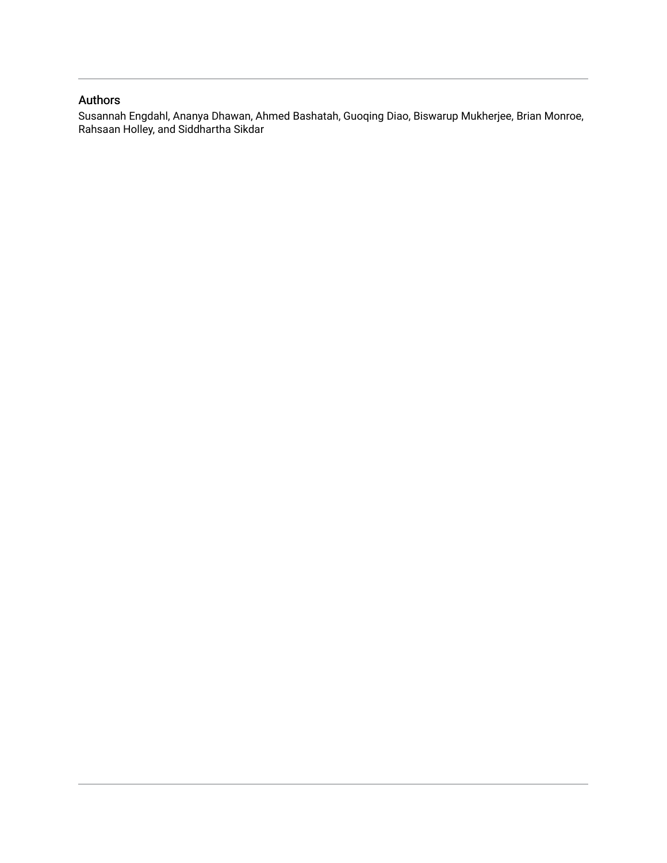# Authors

Susannah Engdahl, Ananya Dhawan, Ahmed Bashatah, Guoqing Diao, Biswarup Mukherjee, Brian Monroe, Rahsaan Holley, and Siddhartha Sikdar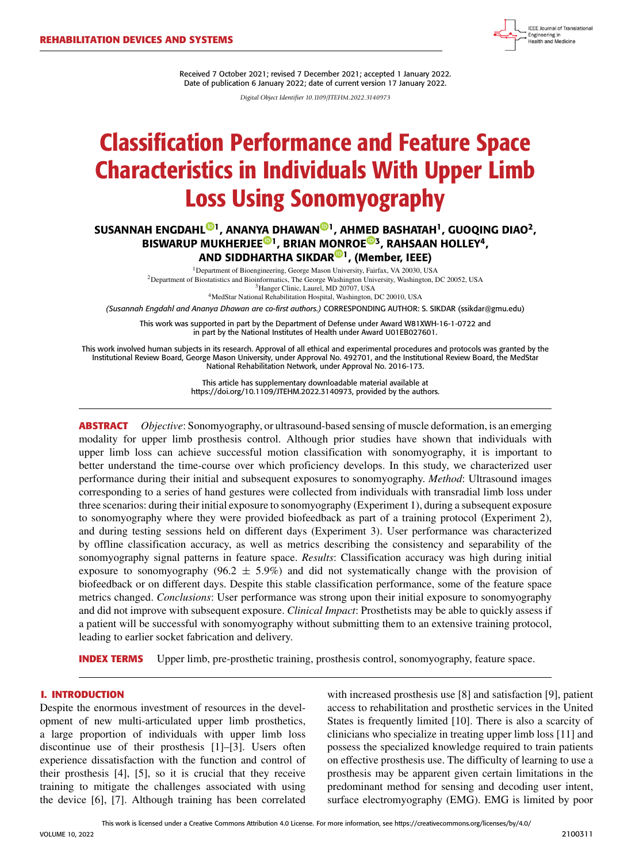Received 7 October 2021; revised 7 December 2021; accepted 1 January 2022. Date of publication 6 January 2022; date of current version 17 January 2022.

*Digital Object Identifier 10.1109/JTEHM.2022.3140973*

# Classification Performance and Feature Space Characteristics in Individuals With Upper Limb Loss Using Sonomyography

# SUSANNAH ENGDAHL<sup>®[1](https://orcid.org/0000-0001-7341-4624)</sup>, ANAN[YA D](https://orcid.org/0000-0001-5528-3763)HAWA[N](https://orcid.org/0000-0002-5167-5716)<sup>®1</sup>, AHM[ED](https://orcid.org/0000-0002-8982-7180) BASHATAH<sup>1</sup>, GUOQING DIAO<sup>2</sup>, BISWARUP MUKHERJEE<sup>®1</sup>, BRIAN M[ON](https://orcid.org/0000-0002-6426-2320)ROE<sup>®3</sup>, RAHSAAN HOLLEY<sup>4</sup>, AND SIDDHARTHA SIKDAR<sup>©1</sup>, (Member, IEEE)

<sup>1</sup>Department of Bioengineering, George Mason University, Fairfax, VA 20030, USA <sup>2</sup>Department of Biostatistics and Bioinformatics, The George Washington University, Washington, DC 20052, USA <sup>3</sup>Hanger Clinic, Laurel, MD 20707, USA <sup>4</sup>MedStar National Rehabilitation Hospital, Washington, DC 20010, USA

*(Susannah Engdahl and Ananya Dhawan are co-first authors.)* CORRESPONDING AUTHOR: S. SIKDAR (ssikdar@gmu.edu)

This work was supported in part by the Department of Defense under Award W81XWH-16-1-0722 and in part by the National Institutes of Health under Award U01EB027601.

This work involved human subjects in its research. Approval of all ethical and experimental procedures and protocols was granted by the Institutional Review Board, George Mason University, under Approval No. 492701, and the Institutional Review Board, the MedStar National Rehabilitation Network, under Approval No. 2016-173.

> This article has supplementary downloadable material available at https://doi.org/10.1109/JTEHM.2022.3140973, provided by the authors.

**ABSTRACT** *Objective*: Sonomyography, or ultrasound-based sensing of muscle deformation, is an emerging modality for upper limb prosthesis control. Although prior studies have shown that individuals with upper limb loss can achieve successful motion classification with sonomyography, it is important to better understand the time-course over which proficiency develops. In this study, we characterized user performance during their initial and subsequent exposures to sonomyography. *Method*: Ultrasound images corresponding to a series of hand gestures were collected from individuals with transradial limb loss under three scenarios: during their initial exposure to sonomyography (Experiment 1), during a subsequent exposure to sonomyography where they were provided biofeedback as part of a training protocol (Experiment 2), and during testing sessions held on different days (Experiment 3). User performance was characterized by offline classification accuracy, as well as metrics describing the consistency and separability of the sonomyography signal patterns in feature space. *Results*: Classification accuracy was high during initial exposure to sonomyography (96.2  $\pm$  5.9%) and did not systematically change with the provision of biofeedback or on different days. Despite this stable classification performance, some of the feature space metrics changed. *Conclusions*: User performance was strong upon their initial exposure to sonomyography and did not improve with subsequent exposure. *Clinical Impact*: Prosthetists may be able to quickly assess if a patient will be successful with sonomyography without submitting them to an extensive training protocol, leading to earlier socket fabrication and delivery.

**INDEX TERMS** Upper limb, pre-prosthetic training, prosthesis control, sonomyography, feature space.

# **I. INTRODUCTION**

VOLUME 10, 2022

Despite the enormous investment of resources in the development of new multi-articulated upper limb prosthetics, a large proportion of individuals with upper limb loss discontinue use of their prosthesis [1]–[3]. Users often experience dissatisfaction with the function and control of their prosthesis [4], [5], so it is crucial that they receive training to mitigate the challenges associated with using the device [6], [7]. Although training has been correlated

with increased prosthesis use [8] and satisfaction [9], patient access to rehabilitation and prosthetic services in the United States is frequently limited [10]. There is also a scarcity of clinicians who specialize in treating upper limb loss [11] and possess the specialized knowledge required to train patients on effective prosthesis use. The difficulty of learning to use a prosthesis may be apparent given certain limitations in the predominant method for sensing and decoding user intent, surface electromyography (EMG). EMG is limited by poor

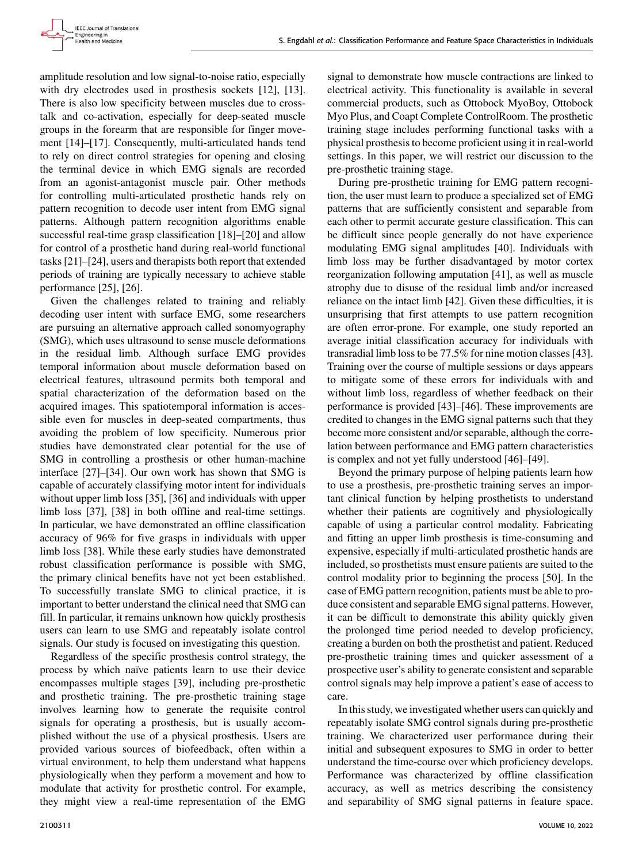amplitude resolution and low signal-to-noise ratio, especially with dry electrodes used in prosthesis sockets [12], [13]. There is also low specificity between muscles due to crosstalk and co-activation, especially for deep-seated muscle groups in the forearm that are responsible for finger movement [14]–[17]. Consequently, multi-articulated hands tend to rely on direct control strategies for opening and closing the terminal device in which EMG signals are recorded from an agonist-antagonist muscle pair. Other methods for controlling multi-articulated prosthetic hands rely on pattern recognition to decode user intent from EMG signal patterns. Although pattern recognition algorithms enable successful real-time grasp classification [18]–[20] and allow for control of a prosthetic hand during real-world functional tasks [21]–[24], users and therapists both report that extended periods of training are typically necessary to achieve stable performance [25], [26].

Given the challenges related to training and reliably decoding user intent with surface EMG, some researchers are pursuing an alternative approach called sonomyography (SMG), which uses ultrasound to sense muscle deformations in the residual limb. Although surface EMG provides temporal information about muscle deformation based on electrical features, ultrasound permits both temporal and spatial characterization of the deformation based on the acquired images. This spatiotemporal information is accessible even for muscles in deep-seated compartments, thus avoiding the problem of low specificity. Numerous prior studies have demonstrated clear potential for the use of SMG in controlling a prosthesis or other human-machine interface [27]–[34]. Our own work has shown that SMG is capable of accurately classifying motor intent for individuals without upper limb loss [35], [36] and individuals with upper limb loss [37], [38] in both offline and real-time settings. In particular, we have demonstrated an offline classification accuracy of 96% for five grasps in individuals with upper limb loss [38]. While these early studies have demonstrated robust classification performance is possible with SMG, the primary clinical benefits have not yet been established. To successfully translate SMG to clinical practice, it is important to better understand the clinical need that SMG can fill. In particular, it remains unknown how quickly prosthesis users can learn to use SMG and repeatably isolate control signals. Our study is focused on investigating this question.

Regardless of the specific prosthesis control strategy, the process by which naïve patients learn to use their device encompasses multiple stages [39], including pre-prosthetic and prosthetic training. The pre-prosthetic training stage involves learning how to generate the requisite control signals for operating a prosthesis, but is usually accomplished without the use of a physical prosthesis. Users are provided various sources of biofeedback, often within a virtual environment, to help them understand what happens physiologically when they perform a movement and how to modulate that activity for prosthetic control. For example, they might view a real-time representation of the EMG

signal to demonstrate how muscle contractions are linked to electrical activity. This functionality is available in several commercial products, such as Ottobock MyoBoy, Ottobock Myo Plus, and Coapt Complete ControlRoom. The prosthetic training stage includes performing functional tasks with a physical prosthesis to become proficient using it in real-world settings. In this paper, we will restrict our discussion to the pre-prosthetic training stage.

During pre-prosthetic training for EMG pattern recognition, the user must learn to produce a specialized set of EMG patterns that are sufficiently consistent and separable from each other to permit accurate gesture classification. This can be difficult since people generally do not have experience modulating EMG signal amplitudes [40]. Individuals with limb loss may be further disadvantaged by motor cortex reorganization following amputation [41], as well as muscle atrophy due to disuse of the residual limb and/or increased reliance on the intact limb [42]. Given these difficulties, it is unsurprising that first attempts to use pattern recognition are often error-prone. For example, one study reported an average initial classification accuracy for individuals with transradial limb loss to be 77.5% for nine motion classes [43]. Training over the course of multiple sessions or days appears to mitigate some of these errors for individuals with and without limb loss, regardless of whether feedback on their performance is provided [43]–[46]. These improvements are credited to changes in the EMG signal patterns such that they become more consistent and/or separable, although the correlation between performance and EMG pattern characteristics is complex and not yet fully understood [46]–[49].

Beyond the primary purpose of helping patients learn how to use a prosthesis, pre-prosthetic training serves an important clinical function by helping prosthetists to understand whether their patients are cognitively and physiologically capable of using a particular control modality. Fabricating and fitting an upper limb prosthesis is time-consuming and expensive, especially if multi-articulated prosthetic hands are included, so prosthetists must ensure patients are suited to the control modality prior to beginning the process [50]. In the case of EMG pattern recognition, patients must be able to produce consistent and separable EMG signal patterns. However, it can be difficult to demonstrate this ability quickly given the prolonged time period needed to develop proficiency, creating a burden on both the prosthetist and patient. Reduced pre-prosthetic training times and quicker assessment of a prospective user's ability to generate consistent and separable control signals may help improve a patient's ease of access to care.

In this study, we investigated whether users can quickly and repeatably isolate SMG control signals during pre-prosthetic training. We characterized user performance during their initial and subsequent exposures to SMG in order to better understand the time-course over which proficiency develops. Performance was characterized by offline classification accuracy, as well as metrics describing the consistency and separability of SMG signal patterns in feature space.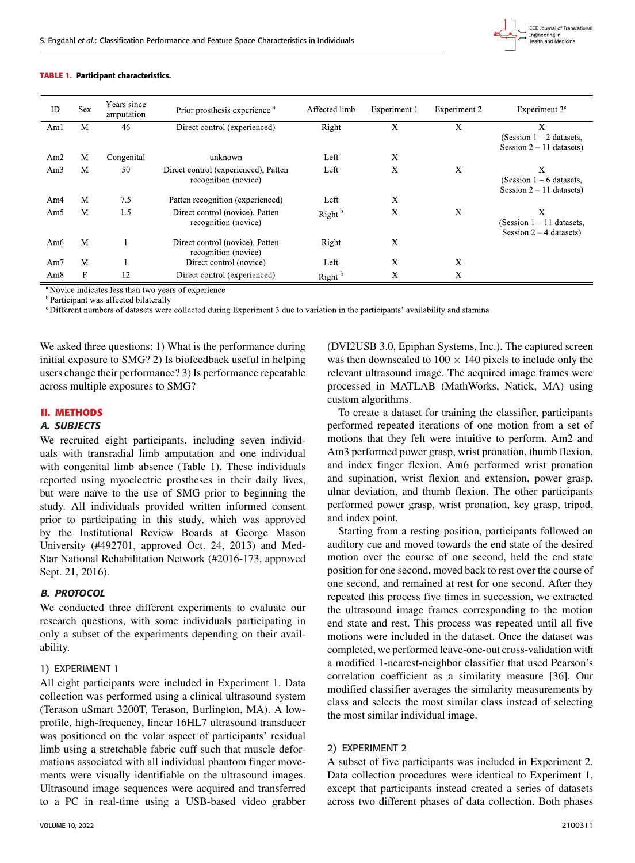

#### **TABLE 1.** Participant characteristics.

| ID              | <b>Sex</b> | Years since<br>amputation | Prior prosthesis experience <sup>a</sup>                     | Affected limb      | Experiment 1 | Experiment 2 | Experiment 3 <sup>c</sup>                                     |
|-----------------|------------|---------------------------|--------------------------------------------------------------|--------------------|--------------|--------------|---------------------------------------------------------------|
| Aml             | M          | 46                        | Direct control (experienced)                                 | Right              | X            | X            | X<br>(Session $1 - 2$ datasets,<br>Session $2 - 11$ datasets) |
| Am <sub>2</sub> | M          | Congenital                | unknown                                                      | Left               | X            |              |                                                               |
| Am3             | M          | 50                        | Direct control (experienced), Patten<br>recognition (novice) | Left               | X            | Х            | Х<br>(Session $1-6$ datasets,<br>Session $2 - 11$ datasets)   |
| Am4             | M          | 7.5                       | Patten recognition (experienced)                             | Left               | X            |              |                                                               |
| Am5             | M          | 1.5                       | Direct control (novice), Patten<br>recognition (novice)      | Right <sup>b</sup> | X            | X            | X<br>(Session 1 – 11 datasets,<br>Session $2 - 4$ datasets)   |
| Am6             | M          |                           | Direct control (novice), Patten<br>recognition (novice)      | Right              | Χ            |              |                                                               |
| Am7             | M          |                           | Direct control (novice)                                      | Left               | X            | X            |                                                               |
| Am8             | F          | 12                        | Direct control (experienced)                                 | Right <sup>b</sup> | $\mathbf X$  | X            |                                                               |

<sup>a</sup> Novice indicates less than two years of experience

<sup>b</sup> Participant was affected bilaterally

° Different numbers of datasets were collected during Experiment 3 due to variation in the participants' availability and stamina

We asked three questions: 1) What is the performance during initial exposure to SMG? 2) Is biofeedback useful in helping users change their performance? 3) Is performance repeatable across multiple exposures to SMG?

## **II. METHODS**

## A. SUBJECTS

We recruited eight participants, including seven individuals with transradial limb amputation and one individual with congenital limb absence (Table 1). These individuals reported using myoelectric prostheses in their daily lives, but were naïve to the use of SMG prior to beginning the study. All individuals provided written informed consent prior to participating in this study, which was approved by the Institutional Review Boards at George Mason University (#492701, approved Oct. 24, 2013) and Med-Star National Rehabilitation Network (#2016-173, approved Sept. 21, 2016).

# B. PROTOCOL

We conducted three different experiments to evaluate our research questions, with some individuals participating in only a subset of the experiments depending on their availability.

# 1) EXPERIMENT 1

All eight participants were included in Experiment 1. Data collection was performed using a clinical ultrasound system (Terason uSmart 3200T, Terason, Burlington, MA). A lowprofile, high-frequency, linear 16HL7 ultrasound transducer was positioned on the volar aspect of participants' residual limb using a stretchable fabric cuff such that muscle deformations associated with all individual phantom finger movements were visually identifiable on the ultrasound images. Ultrasound image sequences were acquired and transferred to a PC in real-time using a USB-based video grabber

VOLUME 10, 2022 2100311

(DVI2USB 3.0, Epiphan Systems, Inc.). The captured screen was then downscaled to  $100 \times 140$  pixels to include only the relevant ultrasound image. The acquired image frames were processed in MATLAB (MathWorks, Natick, MA) using custom algorithms.

To create a dataset for training the classifier, participants performed repeated iterations of one motion from a set of motions that they felt were intuitive to perform. Am2 and Am3 performed power grasp, wrist pronation, thumb flexion, and index finger flexion. Am6 performed wrist pronation and supination, wrist flexion and extension, power grasp, ulnar deviation, and thumb flexion. The other participants performed power grasp, wrist pronation, key grasp, tripod, and index point.

Starting from a resting position, participants followed an auditory cue and moved towards the end state of the desired motion over the course of one second, held the end state position for one second, moved back to rest over the course of one second, and remained at rest for one second. After they repeated this process five times in succession, we extracted the ultrasound image frames corresponding to the motion end state and rest. This process was repeated until all five motions were included in the dataset. Once the dataset was completed, we performed leave-one-out cross-validation with a modified 1-nearest-neighbor classifier that used Pearson's correlation coefficient as a similarity measure [36]. Our modified classifier averages the similarity measurements by class and selects the most similar class instead of selecting the most similar individual image.

# 2) EXPERIMENT 2

A subset of five participants was included in Experiment 2. Data collection procedures were identical to Experiment 1, except that participants instead created a series of datasets across two different phases of data collection. Both phases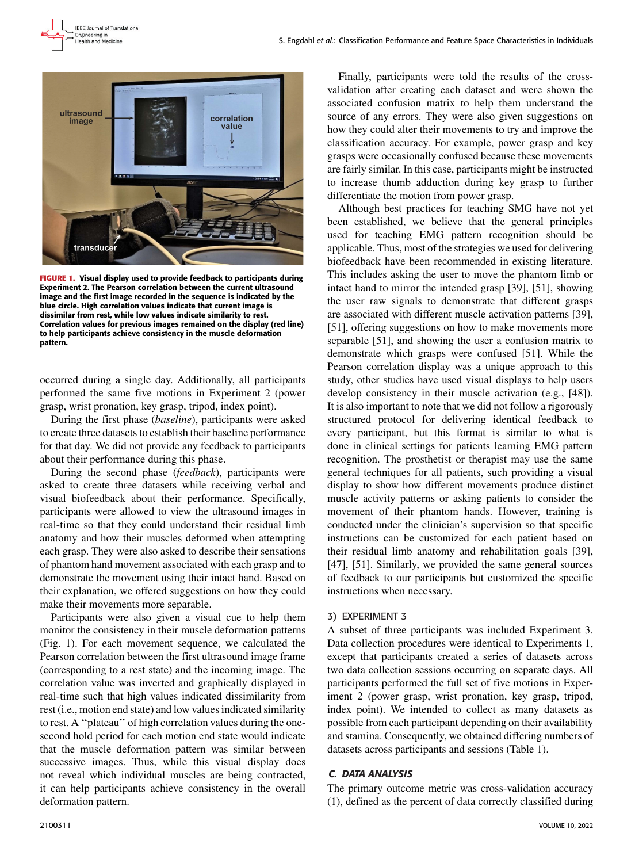

**FIGURE 1.** Visual display used to provide feedback to participants during Experiment 2. The Pearson correlation between the current ultrasound image and the first image recorded in the sequence is indicated by the blue circle. High correlation values indicate that current image is dissimilar from rest, while low values indicate similarity to rest. Correlation values for previous images remained on the display (red line) to help participants achieve consistency in the muscle deformation pattern.

occurred during a single day. Additionally, all participants performed the same five motions in Experiment 2 (power grasp, wrist pronation, key grasp, tripod, index point).

During the first phase (*baseline*), participants were asked to create three datasets to establish their baseline performance for that day. We did not provide any feedback to participants about their performance during this phase.

During the second phase (*feedback*), participants were asked to create three datasets while receiving verbal and visual biofeedback about their performance. Specifically, participants were allowed to view the ultrasound images in real-time so that they could understand their residual limb anatomy and how their muscles deformed when attempting each grasp. They were also asked to describe their sensations of phantom hand movement associated with each grasp and to demonstrate the movement using their intact hand. Based on their explanation, we offered suggestions on how they could make their movements more separable.

Participants were also given a visual cue to help them monitor the consistency in their muscle deformation patterns (Fig. 1). For each movement sequence, we calculated the Pearson correlation between the first ultrasound image frame (corresponding to a rest state) and the incoming image. The correlation value was inverted and graphically displayed in real-time such that high values indicated dissimilarity from rest (i.e., motion end state) and low values indicated similarity to rest. A ''plateau'' of high correlation values during the onesecond hold period for each motion end state would indicate that the muscle deformation pattern was similar between successive images. Thus, while this visual display does not reveal which individual muscles are being contracted, it can help participants achieve consistency in the overall deformation pattern.

Finally, participants were told the results of the crossvalidation after creating each dataset and were shown the associated confusion matrix to help them understand the source of any errors. They were also given suggestions on how they could alter their movements to try and improve the classification accuracy. For example, power grasp and key grasps were occasionally confused because these movements are fairly similar. In this case, participants might be instructed to increase thumb adduction during key grasp to further differentiate the motion from power grasp.

Although best practices for teaching SMG have not yet been established, we believe that the general principles used for teaching EMG pattern recognition should be applicable. Thus, most of the strategies we used for delivering biofeedback have been recommended in existing literature. This includes asking the user to move the phantom limb or intact hand to mirror the intended grasp [39], [51], showing the user raw signals to demonstrate that different grasps are associated with different muscle activation patterns [39], [51], offering suggestions on how to make movements more separable [51], and showing the user a confusion matrix to demonstrate which grasps were confused [51]. While the Pearson correlation display was a unique approach to this study, other studies have used visual displays to help users develop consistency in their muscle activation (e.g., [48]). It is also important to note that we did not follow a rigorously structured protocol for delivering identical feedback to every participant, but this format is similar to what is done in clinical settings for patients learning EMG pattern recognition. The prosthetist or therapist may use the same general techniques for all patients, such providing a visual display to show how different movements produce distinct muscle activity patterns or asking patients to consider the movement of their phantom hands. However, training is conducted under the clinician's supervision so that specific instructions can be customized for each patient based on their residual limb anatomy and rehabilitation goals [39], [47], [51]. Similarly, we provided the same general sources of feedback to our participants but customized the specific instructions when necessary.

# 3) EXPERIMENT 3

A subset of three participants was included Experiment 3. Data collection procedures were identical to Experiments 1, except that participants created a series of datasets across two data collection sessions occurring on separate days. All participants performed the full set of five motions in Experiment 2 (power grasp, wrist pronation, key grasp, tripod, index point). We intended to collect as many datasets as possible from each participant depending on their availability and stamina. Consequently, we obtained differing numbers of datasets across participants and sessions (Table 1).

# C. DATA ANALYSIS

The primary outcome metric was cross-validation accuracy (1), defined as the percent of data correctly classified during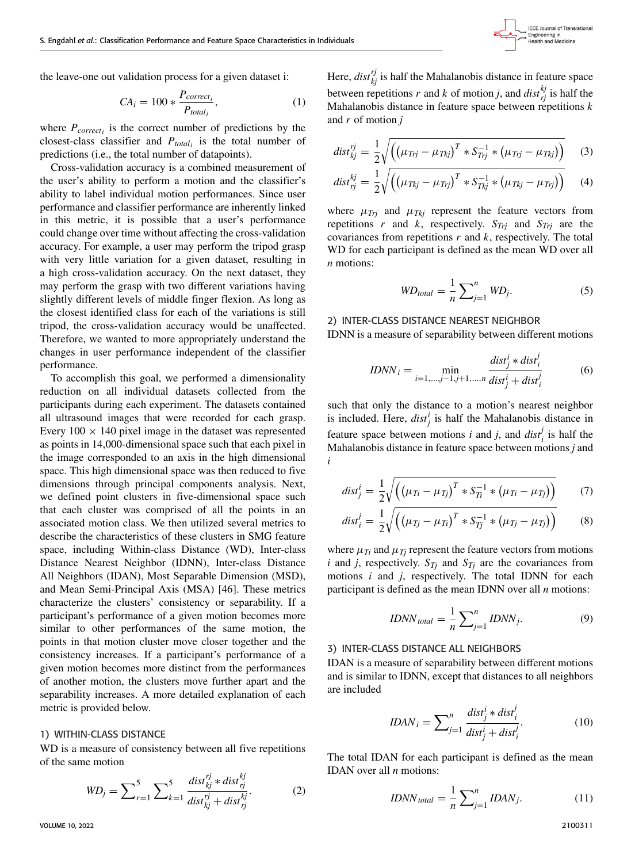the leave-one out validation process for a given dataset i:

$$
CA_i = 100 * \frac{P_{correct_i}}{P_{total_i}},
$$
\n<sup>(1)</sup>

where  $P_{correct_i}$  is the correct number of predictions by the closest-class classifier and *Ptotal<sup>i</sup>* is the total number of predictions (i.e., the total number of datapoints).

Cross-validation accuracy is a combined measurement of the user's ability to perform a motion and the classifier's ability to label individual motion performances. Since user performance and classifier performance are inherently linked in this metric, it is possible that a user's performance could change over time without affecting the cross-validation accuracy. For example, a user may perform the tripod grasp with very little variation for a given dataset, resulting in a high cross-validation accuracy. On the next dataset, they may perform the grasp with two different variations having slightly different levels of middle finger flexion. As long as the closest identified class for each of the variations is still tripod, the cross-validation accuracy would be unaffected. Therefore, we wanted to more appropriately understand the changes in user performance independent of the classifier performance.

To accomplish this goal, we performed a dimensionality reduction on all individual datasets collected from the participants during each experiment. The datasets contained all ultrasound images that were recorded for each grasp. Every  $100 \times 140$  pixel image in the dataset was represented as points in 14,000-dimensional space such that each pixel in the image corresponded to an axis in the high dimensional space. This high dimensional space was then reduced to five dimensions through principal components analysis. Next, we defined point clusters in five-dimensional space such that each cluster was comprised of all the points in an associated motion class. We then utilized several metrics to describe the characteristics of these clusters in SMG feature space, including Within-class Distance (WD), Inter-class Distance Nearest Neighbor (IDNN), Inter-class Distance All Neighbors (IDAN), Most Separable Dimension (MSD), and Mean Semi-Principal Axis (MSA) [46]. These metrics characterize the clusters' consistency or separability. If a participant's performance of a given motion becomes more similar to other performances of the same motion, the points in that motion cluster move closer together and the consistency increases. If a participant's performance of a given motion becomes more distinct from the performances of another motion, the clusters move further apart and the separability increases. A more detailed explanation of each metric is provided below.

# 1) WITHIN-CLASS DISTANCE

WD is a measure of consistency between all five repetitions of the same motion

$$
WD_j = \sum_{r=1}^{5} \sum_{k=1}^{5} \frac{dist_{kj}^{rj} * dist_{rj}^{kj}}{dist_{kj}^{rj} + dist_{rj}^{kj}}.
$$
 (2)

Here,  $dist_{kj}^{rj}$  is half the Mahalanobis distance in feature space between repetitions *r* and *k* of motion *j*, and  $dist_{rj}^{kj}$  is half the Mahalanobis distance in feature space between repetitions *k* and *r* of motion *j*

$$
dist_{kj}^{rj} = \frac{1}{2} \sqrt{\left( \left( \mu_{Trj} - \mu_{Tkj} \right)^T * S_{Trj}^{-1} * \left( \mu_{Trj} - \mu_{Tkj} \right) \right)}
$$
(3)

$$
dist_{rj}^{kj} = \frac{1}{2} \sqrt{\left( \left( \mu_{Tkj} - \mu_{Tij} \right)^T * S_{Tkj}^{-1} * \left( \mu_{Tkj} - \mu_{Tij} \right) \right)}
$$
(4)

where  $\mu_{Trj}$  and  $\mu_{Tkj}$  represent the feature vectors from repetitions *r* and *k*, respectively.  $S_{Trj}$  and  $S_{Trj}$  are the covariances from repetitions *r* and *k*, respectively. The total WD for each participant is defined as the mean WD over all *n* motions:

$$
WD_{total} = \frac{1}{n} \sum_{j=1}^{n} WD_j.
$$
 (5)

# 2) INTER-CLASS DISTANCE NEAREST NEIGHBOR IDNN is a measure of separability between different motions

$$
IDNN_i = \min_{i=1,\dots,j-1,j+1,\dots,n} \frac{dist_j^i * dist_i^j}{dist_j^i + dist_i^j}
$$
(6)

such that only the distance to a motion's nearest neighbor is included. Here,  $dist_j^i$  is half the Mahalanobis distance in feature space between motions *i* and *j*, and  $dist_i^j$  is half the Mahalanobis distance in feature space between motions *j* and *i*

$$
dist_j^i = \frac{1}{2} \sqrt{\left( \left( \mu_{Ti} - \mu_{Tj} \right)^T * S_{Ti}^{-1} * \left( \mu_{Ti} - \mu_{Tj} \right) \right)}
$$
(7)

$$
dist_i^j = \frac{1}{2} \sqrt{\left( \left( \mu_{Tj} - \mu_{Ti} \right)^T * S_{Tj}^{-1} * \left( \mu_{Tj} - \mu_{Tj} \right) \right)}
$$
(8)

where  $\mu_{Ti}$  and  $\mu_{Ti}$  represent the feature vectors from motions *i* and *j*, respectively.  $S_{Tj}$  and  $S_{Tj}$  are the covariances from motions *i* and *j*, respectively. The total IDNN for each participant is defined as the mean IDNN over all *n* motions:

$$
IDNN_{total} = \frac{1}{n} \sum_{j=1}^{n} IDNN_j.
$$
 (9)

### 3) INTER-CLASS DISTANCE ALL NEIGHBORS

IDAN is a measure of separability between different motions and is similar to IDNN, except that distances to all neighbors are included

$$
IDAN_i = \sum_{j=1}^{n} \frac{dist_j^i * dist_i^j}{dist_j^i + dist_i^j}.
$$
 (10)

The total IDAN for each participant is defined as the mean IDAN over all *n* motions:

$$
IDNN_{total} = \frac{1}{n} \sum_{j=1}^{n} IDAN_j.
$$
 (11)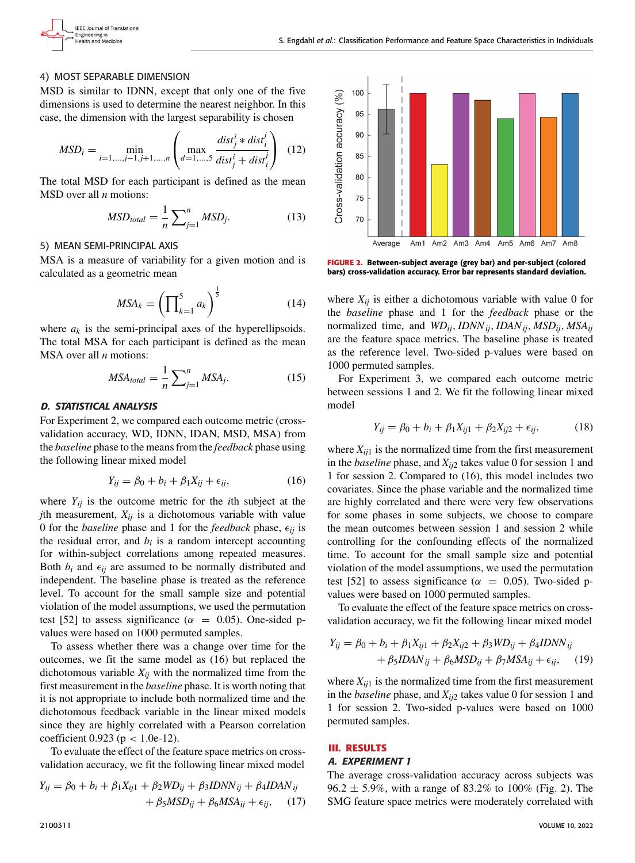

# 4) MOST SEPARABLE DIMENSION

MSD is similar to IDNN, except that only one of the five dimensions is used to determine the nearest neighbor. In this case, the dimension with the largest separability is chosen

$$
MSD_i = \min_{i=1,...,j-1,j+1,...,n} \left( \max_{d=1,...,5} \frac{dist_j^i * dist_i^j}{dist_j^i + dist_i^j} \right) \tag{12}
$$

The total MSD for each participant is defined as the mean MSD over all *n* motions:

$$
MSD_{total} = \frac{1}{n} \sum_{j=1}^{n} MSD_j.
$$
 (13)

## 5) MEAN SEMI-PRINCIPAL AXIS

MSA is a measure of variability for a given motion and is calculated as a geometric mean

$$
MSA_k = \left(\prod_{k=1}^5 a_k\right)^{\frac{1}{5}}\tag{14}
$$

where  $a_k$  is the semi-principal axes of the hyperellipsoids. The total MSA for each participant is defined as the mean MSA over all *n* motions:

$$
MSA_{total} = \frac{1}{n} \sum_{j=1}^{n} MSA_j.
$$
 (15)

# D. STATISTICAL ANALYSIS

For Experiment 2, we compared each outcome metric (crossvalidation accuracy, WD, IDNN, IDAN, MSD, MSA) from the *baseline* phase to the means from the *feedback* phase using the following linear mixed model

$$
Y_{ij} = \beta_0 + b_i + \beta_1 X_{ij} + \epsilon_{ij},\tag{16}
$$

where  $Y_{ij}$  is the outcome metric for the *i*th subject at the *j*th measurement,  $X_{ij}$  is a dichotomous variable with value 0 for the *baseline* phase and 1 for the *feedback* phase,  $\epsilon_{ij}$  is the residual error, and  $b_i$  is a random intercept accounting for within-subject correlations among repeated measures. Both  $b_i$  and  $\epsilon_{ij}$  are assumed to be normally distributed and independent. The baseline phase is treated as the reference level. To account for the small sample size and potential violation of the model assumptions, we used the permutation test [52] to assess significance ( $\alpha = 0.05$ ). One-sided pvalues were based on 1000 permuted samples.

To assess whether there was a change over time for the outcomes, we fit the same model as (16) but replaced the dichotomous variable  $X_{ij}$  with the normalized time from the first measurement in the *baseline* phase. It is worth noting that it is not appropriate to include both normalized time and the dichotomous feedback variable in the linear mixed models since they are highly correlated with a Pearson correlation coefficient 0.923 ( $p < 1.0e-12$ ).

To evaluate the effect of the feature space metrics on crossvalidation accuracy, we fit the following linear mixed model

$$
Y_{ij} = \beta_0 + b_i + \beta_1 X_{ij1} + \beta_2 W D_{ij} + \beta_3 IDNN_{ij} + \beta_4 IDAN_{ij} + \beta_5 MSD_{ij} + \beta_6 MSA_{ij} + \epsilon_{ij}, \quad (17)
$$



**FIGURE 2.** Between-subject average (grey bar) and per-subject (colored bars) cross-validation accuracy. Error bar represents standard deviation.

where  $X_{ij}$  is either a dichotomous variable with value 0 for the *baseline* phase and 1 for the *feedback* phase or the normalized time, and *WDij*, *IDNNij*, *IDANij*, *MSDij*, *MSAij* are the feature space metrics. The baseline phase is treated as the reference level. Two-sided p-values were based on 1000 permuted samples.

For Experiment 3, we compared each outcome metric between sessions 1 and 2. We fit the following linear mixed model

$$
Y_{ij} = \beta_0 + b_i + \beta_1 X_{ij1} + \beta_2 X_{ij2} + \epsilon_{ij},
$$
 (18)

where  $X_{ij1}$  is the normalized time from the first measurement in the *baseline* phase, and *Xij*<sup>2</sup> takes value 0 for session 1 and 1 for session 2. Compared to (16), this model includes two covariates. Since the phase variable and the normalized time are highly correlated and there were very few observations for some phases in some subjects, we choose to compare the mean outcomes between session 1 and session 2 while controlling for the confounding effects of the normalized time. To account for the small sample size and potential violation of the model assumptions, we used the permutation test [52] to assess significance ( $\alpha = 0.05$ ). Two-sided pvalues were based on 1000 permuted samples.

To evaluate the effect of the feature space metrics on crossvalidation accuracy, we fit the following linear mixed model

$$
Y_{ij} = \beta_0 + b_i + \beta_1 X_{ij1} + \beta_2 X_{ij2} + \beta_3 W D_{ij} + \beta_4 IDNN_{ij}
$$
  
+  $\beta_5 IDAN_{ij} + \beta_6 MSD_{ij} + \beta_7 MSA_{ij} + \epsilon_{ij}$ , (19)

where  $X_{ij1}$  is the normalized time from the first measurement in the *baseline* phase, and *Xij*<sup>2</sup> takes value 0 for session 1 and 1 for session 2. Two-sided p-values were based on 1000 permuted samples.

# **III. RESULTS**

# A. EXPERIMENT 1

The average cross-validation accuracy across subjects was 96.2  $\pm$  5.9%, with a range of 83.2% to 100% (Fig. 2). The SMG feature space metrics were moderately correlated with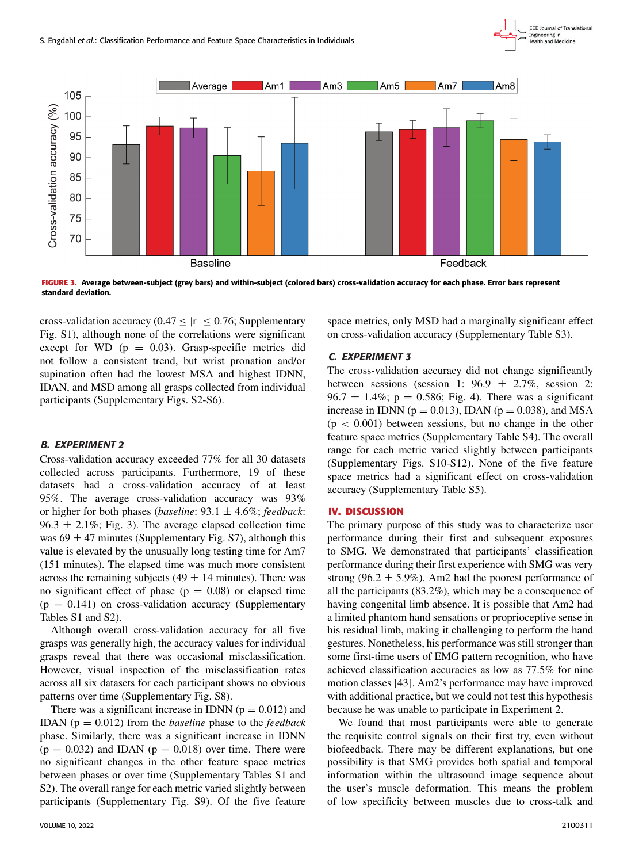



**FIGURE 3.** Average between-subject (grey bars) and within-subject (colored bars) cross-validation accuracy for each phase. Error bars represent standard deviation.

cross-validation accuracy  $(0.47 < |r| < 0.76$ ; Supplementary Fig. S1), although none of the correlations were significant except for WD  $(p = 0.03)$ . Grasp-specific metrics did not follow a consistent trend, but wrist pronation and/or supination often had the lowest MSA and highest IDNN, IDAN, and MSD among all grasps collected from individual participants (Supplementary Figs. S2-S6).

# B. EXPERIMENT 2

Cross-validation accuracy exceeded 77% for all 30 datasets collected across participants. Furthermore, 19 of these datasets had a cross-validation accuracy of at least 95%. The average cross-validation accuracy was 93% or higher for both phases (*baseline*: 93.1 ± 4.6%; *feedback*: 96.3  $\pm$  2.1%; Fig. 3). The average elapsed collection time was  $69 \pm 47$  minutes (Supplementary Fig. S7), although this value is elevated by the unusually long testing time for Am7 (151 minutes). The elapsed time was much more consistent across the remaining subjects (49  $\pm$  14 minutes). There was no significant effect of phase ( $p = 0.08$ ) or elapsed time  $(p = 0.141)$  on cross-validation accuracy (Supplementary Tables S1 and S2).

Although overall cross-validation accuracy for all five grasps was generally high, the accuracy values for individual grasps reveal that there was occasional misclassification. However, visual inspection of the misclassification rates across all six datasets for each participant shows no obvious patterns over time (Supplementary Fig. S8).

There was a significant increase in IDNN ( $p = 0.012$ ) and IDAN (p = 0.012) from the *baseline* phase to the *feedback* phase. Similarly, there was a significant increase in IDNN  $(p = 0.032)$  and IDAN  $(p = 0.018)$  over time. There were no significant changes in the other feature space metrics between phases or over time (Supplementary Tables S1 and S2). The overall range for each metric varied slightly between participants (Supplementary Fig. S9). Of the five feature

space metrics, only MSD had a marginally significant effect on cross-validation accuracy (Supplementary Table S3).

# C. EXPERIMENT 3

The cross-validation accuracy did not change significantly between sessions (session 1:  $96.9 \pm 2.7\%$ , session 2: 96.7  $\pm$  1.4%; p = 0.586; Fig. 4). There was a significant increase in IDNN ( $p = 0.013$ ), IDAN ( $p = 0.038$ ), and MSA  $(p < 0.001)$  between sessions, but no change in the other feature space metrics (Supplementary Table S4). The overall range for each metric varied slightly between participants (Supplementary Figs. S10-S12). None of the five feature space metrics had a significant effect on cross-validation accuracy (Supplementary Table S5).

#### **IV. DISCUSSION**

The primary purpose of this study was to characterize user performance during their first and subsequent exposures to SMG. We demonstrated that participants' classification performance during their first experience with SMG was very strong (96.2  $\pm$  5.9%). Am2 had the poorest performance of all the participants (83.2%), which may be a consequence of having congenital limb absence. It is possible that Am2 had a limited phantom hand sensations or proprioceptive sense in his residual limb, making it challenging to perform the hand gestures. Nonetheless, his performance was still stronger than some first-time users of EMG pattern recognition, who have achieved classification accuracies as low as 77.5% for nine motion classes [43]. Am2's performance may have improved with additional practice, but we could not test this hypothesis because he was unable to participate in Experiment 2.

We found that most participants were able to generate the requisite control signals on their first try, even without biofeedback. There may be different explanations, but one possibility is that SMG provides both spatial and temporal information within the ultrasound image sequence about the user's muscle deformation. This means the problem of low specificity between muscles due to cross-talk and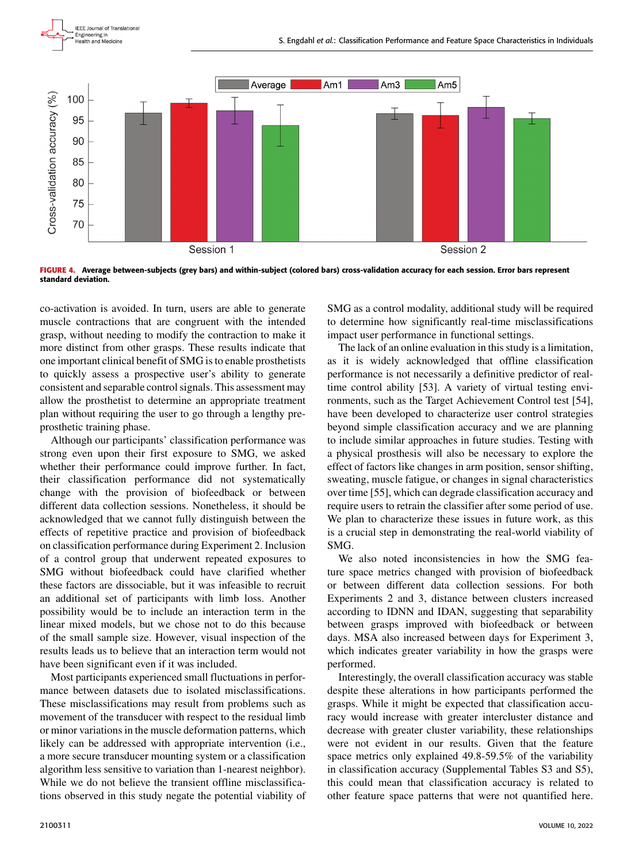



**FIGURE 4.** Average between-subjects (grey bars) and within-subject (colored bars) cross-validation accuracy for each session. Error bars represent standard deviation.

co-activation is avoided. In turn, users are able to generate muscle contractions that are congruent with the intended grasp, without needing to modify the contraction to make it more distinct from other grasps. These results indicate that one important clinical benefit of SMG is to enable prosthetists to quickly assess a prospective user's ability to generate consistent and separable control signals. This assessment may allow the prosthetist to determine an appropriate treatment plan without requiring the user to go through a lengthy preprosthetic training phase.

Although our participants' classification performance was strong even upon their first exposure to SMG, we asked whether their performance could improve further. In fact, their classification performance did not systematically change with the provision of biofeedback or between different data collection sessions. Nonetheless, it should be acknowledged that we cannot fully distinguish between the effects of repetitive practice and provision of biofeedback on classification performance during Experiment 2. Inclusion of a control group that underwent repeated exposures to SMG without biofeedback could have clarified whether these factors are dissociable, but it was infeasible to recruit an additional set of participants with limb loss. Another possibility would be to include an interaction term in the linear mixed models, but we chose not to do this because of the small sample size. However, visual inspection of the results leads us to believe that an interaction term would not have been significant even if it was included.

Most participants experienced small fluctuations in performance between datasets due to isolated misclassifications. These misclassifications may result from problems such as movement of the transducer with respect to the residual limb or minor variations in the muscle deformation patterns, which likely can be addressed with appropriate intervention (i.e., a more secure transducer mounting system or a classification algorithm less sensitive to variation than 1-nearest neighbor). While we do not believe the transient offline misclassifications observed in this study negate the potential viability of SMG as a control modality, additional study will be required to determine how significantly real-time misclassifications impact user performance in functional settings.

The lack of an online evaluation in this study is a limitation, as it is widely acknowledged that offline classification performance is not necessarily a definitive predictor of realtime control ability [53]. A variety of virtual testing environments, such as the Target Achievement Control test [54], have been developed to characterize user control strategies beyond simple classification accuracy and we are planning to include similar approaches in future studies. Testing with a physical prosthesis will also be necessary to explore the effect of factors like changes in arm position, sensor shifting, sweating, muscle fatigue, or changes in signal characteristics over time [55], which can degrade classification accuracy and require users to retrain the classifier after some period of use. We plan to characterize these issues in future work, as this is a crucial step in demonstrating the real-world viability of SMG.

We also noted inconsistencies in how the SMG feature space metrics changed with provision of biofeedback or between different data collection sessions. For both Experiments 2 and 3, distance between clusters increased according to IDNN and IDAN, suggesting that separability between grasps improved with biofeedback or between days. MSA also increased between days for Experiment 3, which indicates greater variability in how the grasps were performed.

Interestingly, the overall classification accuracy was stable despite these alterations in how participants performed the grasps. While it might be expected that classification accuracy would increase with greater intercluster distance and decrease with greater cluster variability, these relationships were not evident in our results. Given that the feature space metrics only explained 49.8-59.5% of the variability in classification accuracy (Supplemental Tables S3 and S5), this could mean that classification accuracy is related to other feature space patterns that were not quantified here.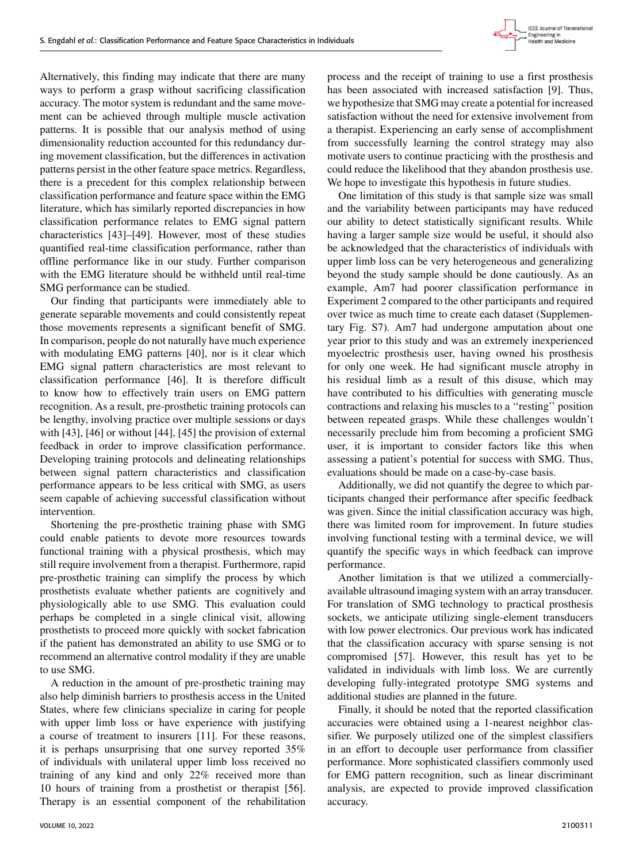

Alternatively, this finding may indicate that there are many ways to perform a grasp without sacrificing classification accuracy. The motor system is redundant and the same movement can be achieved through multiple muscle activation patterns. It is possible that our analysis method of using dimensionality reduction accounted for this redundancy during movement classification, but the differences in activation patterns persist in the other feature space metrics. Regardless, there is a precedent for this complex relationship between classification performance and feature space within the EMG literature, which has similarly reported discrepancies in how classification performance relates to EMG signal pattern characteristics [43]–[49]. However, most of these studies quantified real-time classification performance, rather than offline performance like in our study. Further comparison with the EMG literature should be withheld until real-time SMG performance can be studied.

Our finding that participants were immediately able to generate separable movements and could consistently repeat those movements represents a significant benefit of SMG. In comparison, people do not naturally have much experience with modulating EMG patterns [40], nor is it clear which EMG signal pattern characteristics are most relevant to classification performance [46]. It is therefore difficult to know how to effectively train users on EMG pattern recognition. As a result, pre-prosthetic training protocols can be lengthy, involving practice over multiple sessions or days with [43], [46] or without [44], [45] the provision of external feedback in order to improve classification performance. Developing training protocols and delineating relationships between signal pattern characteristics and classification performance appears to be less critical with SMG, as users seem capable of achieving successful classification without intervention.

Shortening the pre-prosthetic training phase with SMG could enable patients to devote more resources towards functional training with a physical prosthesis, which may still require involvement from a therapist. Furthermore, rapid pre-prosthetic training can simplify the process by which prosthetists evaluate whether patients are cognitively and physiologically able to use SMG. This evaluation could perhaps be completed in a single clinical visit, allowing prosthetists to proceed more quickly with socket fabrication if the patient has demonstrated an ability to use SMG or to recommend an alternative control modality if they are unable to use SMG.

A reduction in the amount of pre-prosthetic training may also help diminish barriers to prosthesis access in the United States, where few clinicians specialize in caring for people with upper limb loss or have experience with justifying a course of treatment to insurers [11]. For these reasons, it is perhaps unsurprising that one survey reported 35% of individuals with unilateral upper limb loss received no training of any kind and only 22% received more than 10 hours of training from a prosthetist or therapist [56]. Therapy is an essential component of the rehabilitation

process and the receipt of training to use a first prosthesis has been associated with increased satisfaction [9]. Thus, we hypothesize that SMG may create a potential for increased satisfaction without the need for extensive involvement from a therapist. Experiencing an early sense of accomplishment from successfully learning the control strategy may also motivate users to continue practicing with the prosthesis and could reduce the likelihood that they abandon prosthesis use. We hope to investigate this hypothesis in future studies.

One limitation of this study is that sample size was small and the variability between participants may have reduced our ability to detect statistically significant results. While having a larger sample size would be useful, it should also be acknowledged that the characteristics of individuals with upper limb loss can be very heterogeneous and generalizing beyond the study sample should be done cautiously. As an example, Am7 had poorer classification performance in Experiment 2 compared to the other participants and required over twice as much time to create each dataset (Supplementary Fig. S7). Am7 had undergone amputation about one year prior to this study and was an extremely inexperienced myoelectric prosthesis user, having owned his prosthesis for only one week. He had significant muscle atrophy in his residual limb as a result of this disuse, which may have contributed to his difficulties with generating muscle contractions and relaxing his muscles to a ''resting'' position between repeated grasps. While these challenges wouldn't necessarily preclude him from becoming a proficient SMG user, it is important to consider factors like this when assessing a patient's potential for success with SMG. Thus, evaluations should be made on a case-by-case basis.

Additionally, we did not quantify the degree to which participants changed their performance after specific feedback was given. Since the initial classification accuracy was high, there was limited room for improvement. In future studies involving functional testing with a terminal device, we will quantify the specific ways in which feedback can improve performance.

Another limitation is that we utilized a commerciallyavailable ultrasound imaging system with an array transducer. For translation of SMG technology to practical prosthesis sockets, we anticipate utilizing single-element transducers with low power electronics. Our previous work has indicated that the classification accuracy with sparse sensing is not compromised [57]. However, this result has yet to be validated in individuals with limb loss. We are currently developing fully-integrated prototype SMG systems and additional studies are planned in the future.

Finally, it should be noted that the reported classification accuracies were obtained using a 1-nearest neighbor classifier. We purposely utilized one of the simplest classifiers in an effort to decouple user performance from classifier performance. More sophisticated classifiers commonly used for EMG pattern recognition, such as linear discriminant analysis, are expected to provide improved classification accuracy.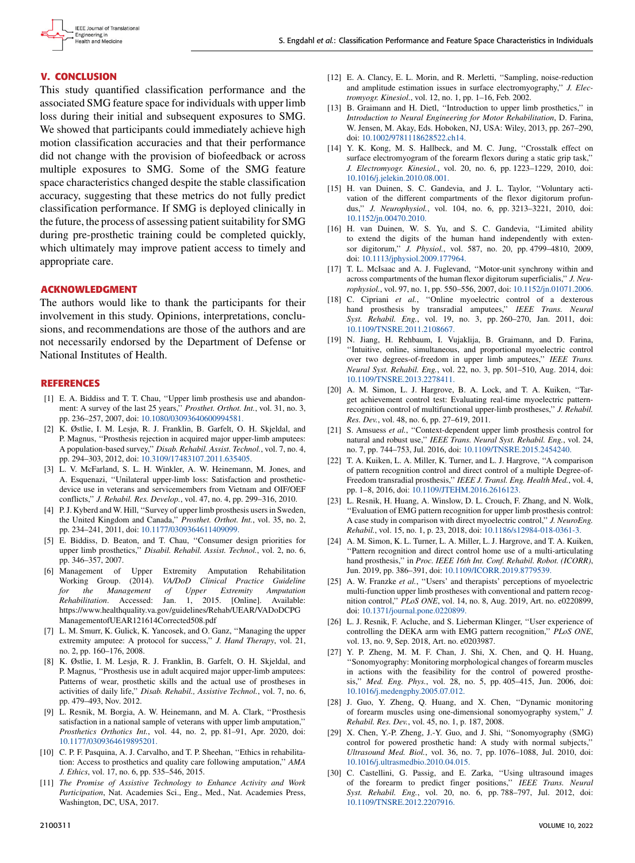

# **V. CONCLUSION**

This study quantified classification performance and the associated SMG feature space for individuals with upper limb loss during their initial and subsequent exposures to SMG. We showed that participants could immediately achieve high motion classification accuracies and that their performance did not change with the provision of biofeedback or across multiple exposures to SMG. Some of the SMG feature space characteristics changed despite the stable classification accuracy, suggesting that these metrics do not fully predict classification performance. If SMG is deployed clinically in the future, the process of assessing patient suitability for SMG during pre-prosthetic training could be completed quickly, which ultimately may improve patient access to timely and appropriate care.

# **ACKNOWLEDGMENT**

The authors would like to thank the participants for their involvement in this study. Opinions, interpretations, conclusions, and recommendations are those of the authors and are not necessarily endorsed by the Department of Defense or National Institutes of Health.

# **REFERENCES**

- [1] E. A. Biddiss and T. T. Chau, ''Upper limb prosthesis use and abandonment: A survey of the last 25 years,'' *Prosthet. Orthot. Int.*, vol. 31, no. 3, pp. 236–257, 2007, doi: [10.1080/03093640600994581.](http://dx.doi.org/10.1080/03093640600994581)
- [2] K. Østlie, I. M. Lesjø, R. J. Franklin, B. Garfelt, O. H. Skjeldal, and P. Magnus, ''Prosthesis rejection in acquired major upper-limb amputees: A population-based survey,'' *Disab. Rehabil. Assist. Technol.*, vol. 7, no. 4, pp. 294–303, 2012, doi: [10.3109/17483107.2011.635405.](http://dx.doi.org/10.3109/17483107.2011.635405)
- [3] L. V. McFarland, S. L. H. Winkler, A. W. Heinemann, M. Jones, and A. Esquenazi, ''Unilateral upper-limb loss: Satisfaction and prostheticdevice use in veterans and servicemembers from Vietnam and OIF/OEF conflicts,'' *J. Rehabil. Res. Develop.*, vol. 47, no. 4, pp. 299–316, 2010.
- [4] P. J. Kyberd and W. Hill, "Survey of upper limb prosthesis users in Sweden, the United Kingdom and Canada,'' *Prosthet. Orthot. Int.*, vol. 35, no. 2, pp. 234–241, 2011, doi: [10.1177/0309364611409099.](http://dx.doi.org/10.1177/0309364611409099)
- [5] E. Biddiss, D. Beaton, and T. Chau, ''Consumer design priorities for upper limb prosthetics,'' *Disabil. Rehabil. Assist. Technol.*, vol. 2, no. 6, pp. 346–357, 2007.
- [6] Management of Upper Extremity Amputation Rehabilitation Working Group. (2014). *VA/DoD Clinical Practice Guideline for the Management of Upper Extremity Amputation Rehabilitation*. Accessed: Jan. 1, 2015. [Online]. Available: https://www.healthquality.va.gov/guidelines/Rehab/UEAR/VADoDCPG ManagementofUEAR121614Corrected508.pdf
- [7] L. M. Smurr, K. Gulick, K. Yancosek, and O. Ganz, ''Managing the upper extremity amputee: A protocol for success,'' *J. Hand Therapy*, vol. 21, no. 2, pp. 160–176, 2008.
- [8] K. Østlie, I. M. Lesjø, R. J. Franklin, B. Garfelt, O. H. Skjeldal, and P. Magnus, ''Prosthesis use in adult acquired major upper-limb amputees: Patterns of wear, prosthetic skills and the actual use of prostheses in activities of daily life,'' *Disab. Rehabil., Assistive Technol.*, vol. 7, no. 6, pp. 479–493, Nov. 2012.
- [9] L. Resnik, M. Borgia, A. W. Heinemann, and M. A. Clark, ''Prosthesis satisfaction in a national sample of veterans with upper limb amputation,'' *Prosthetics Orthotics Int.*, vol. 44, no. 2, pp. 81–91, Apr. 2020, doi: [10.1177/0309364619895201.](http://dx.doi.org/10.1177/0309364619895201)
- [10] C. P. F. Pasquina, A. J. Carvalho, and T. P. Sheehan, "Ethics in rehabilitation: Access to prosthetics and quality care following amputation,'' *AMA J. Ethics*, vol. 17, no. 6, pp. 535–546, 2015.
- [11] *The Promise of Assistive Technology to Enhance Activity and Work Participation*, Nat. Academies Sci., Eng., Med., Nat. Academies Press, Washington, DC, USA, 2017.
- [12] E. A. Clancy, E. L. Morin, and R. Merletti, ''Sampling, noise-reduction and amplitude estimation issues in surface electromyography,'' *J. Electromyogr. Kinesiol.*, vol. 12, no. 1, pp. 1–16, Feb. 2002.
- [13] B. Graimann and H. Dietl, "Introduction to upper limb prosthetics," in *Introduction to Neural Engineering for Motor Rehabilitation*, D. Farina, W. Jensen, M. Akay, Eds. Hoboken, NJ, USA: Wiley, 2013, pp. 267–290, doi: [10.1002/9781118628522.ch14.](http://dx.doi.org/10.1002/9781118628522.ch14)
- [14] Y. K. Kong, M. S. Hallbeck, and M. C. Jung, "Crosstalk effect on surface electromyogram of the forearm flexors during a static grip task,'' *J. Electromyogr. Kinesiol.*, vol. 20, no. 6, pp. 1223–1229, 2010, doi: [10.1016/j.jelekin.2010.08.001.](http://dx.doi.org/10.1016/j.jelekin.2010.08.001)
- [15] H. van Duinen, S. C. Gandevia, and J. L. Taylor, ''Voluntary activation of the different compartments of the flexor digitorum profundus,'' *J. Neurophysiol.*, vol. 104, no. 6, pp. 3213–3221, 2010, doi: [10.1152/jn.00470.2010.](http://dx.doi.org/10.1152/jn.00470.2010)
- [16] H. van Duinen, W. S. Yu, and S. C. Gandevia, "Limited ability to extend the digits of the human hand independently with extensor digitorum,'' *J. Physiol.*, vol. 587, no. 20, pp. 4799–4810, 2009, doi: [10.1113/jphysiol.2009.177964.](http://dx.doi.org/10.1113/jphysiol.2009.177964)
- [17] T. L. McIsaac and A. J. Fuglevand, ''Motor-unit synchrony within and across compartments of the human flexor digitorum superficialis,'' *J. Neurophysiol.*, vol. 97, no. 1, pp. 550–556, 2007, doi: [10.1152/jn.01071.2006.](http://dx.doi.org/10.1152/jn.01071.2006)
- [18] C. Cipriani et al., "Online myoelectric control of a dexterous hand prosthesis by transradial amputees,'' *IEEE Trans. Neural Syst. Rehabil. Eng.*, vol. 19, no. 3, pp. 260–270, Jan. 2011, doi: [10.1109/TNSRE.2011.2108667.](http://dx.doi.org/10.1109/TNSRE.2011.2108667)
- [19] N. Jiang, H. Rehbaum, I. Vujaklija, B. Graimann, and D. Farina, ''Intuitive, online, simultaneous, and proportional myoelectric control over two degrees-of-freedom in upper limb amputees,'' *IEEE Trans. Neural Syst. Rehabil. Eng.*, vol. 22, no. 3, pp. 501–510, Aug. 2014, doi: [10.1109/TNSRE.2013.2278411.](http://dx.doi.org/10.1109/TNSRE.2013.2278411)
- [20] A. M. Simon, L. J. Hargrove, B. A. Lock, and T. A. Kuiken, ''Target achievement control test: Evaluating real-time myoelectric patternrecognition control of multifunctional upper-limb prostheses,'' *J. Rehabil. Res. Dev.*, vol. 48, no. 6, pp. 27–619, 2011.
- [21] S. Amsuess *et al.*, "Context-dependent upper limb prosthesis control for natural and robust use,'' *IEEE Trans. Neural Syst. Rehabil. Eng.*, vol. 24, no. 7, pp. 744–753, Jul. 2016, doi: [10.1109/TNSRE.2015.2454240.](http://dx.doi.org/10.1109/TNSRE.2015.2454240)
- [22] T. A. Kuiken, L. A. Miller, K. Turner, and L. J. Hargrove, ''A comparison of pattern recognition control and direct control of a multiple Degree-of-Freedom transradial prosthesis,'' *IEEE J. Transl. Eng. Health Med.*, vol. 4, pp. 1–8, 2016, doi: [10.1109/JTEHM.2016.2616123.](http://dx.doi.org/10.1109/JTEHM.2016.2616123)
- [23] L. Resnik, H. Huang, A. Winslow, D. L. Crouch, F. Zhang, and N. Wolk, ''Evaluation of EMG pattern recognition for upper limb prosthesis control: A case study in comparison with direct myoelectric control,'' *J. NeuroEng. Rehabil.*, vol. 15, no. 1, p. 23, 2018, doi: [10.1186/s12984-018-0361-3.](http://dx.doi.org/10.1186/s12984-018-0361-3)
- [24] A. M. Simon, K. L. Turner, L. A. Miller, L. J. Hargrove, and T. A. Kuiken, ''Pattern recognition and direct control home use of a multi-articulating hand prosthesis,'' in *Proc. IEEE 16th Int. Conf. Rehabil. Robot. (ICORR)*, Jun. 2019, pp. 386–391, doi: [10.1109/ICORR.2019.8779539.](http://dx.doi.org/10.1109/ICORR.2019.8779539)
- [25] A. W. Franzke et al., "Users' and therapists' perceptions of myoelectric multi-function upper limb prostheses with conventional and pattern recognition control,'' *PLoS ONE*, vol. 14, no. 8, Aug. 2019, Art. no. e0220899, doi: [10.1371/journal.pone.0220899.](http://dx.doi.org/10.1371/journal.pone.0220899)
- [26] L. J. Resnik, F. Acluche, and S. Lieberman Klinger, "User experience of controlling the DEKA arm with EMG pattern recognition,'' *PLoS ONE*, vol. 13, no. 9, Sep. 2018, Art. no. e0203987.
- [27] Y. P. Zheng, M. M. F. Chan, J. Shi, X. Chen, and Q. H. Huang, ''Sonomyography: Monitoring morphological changes of forearm muscles in actions with the feasibility for the control of powered prosthesis,'' *Med. Eng. Phys.*, vol. 28, no. 5, pp. 405–415, Jun. 2006, doi: [10.1016/j.medengphy.2005.07.012.](http://dx.doi.org/10.1016/j.medengphy.2005.07.012)
- [28] J. Guo, Y. Zheng, Q. Huang, and X. Chen, ''Dynamic monitoring of forearm muscles using one-dimensional sonomyography system,'' *J. Rehabil. Res. Dev.*, vol. 45, no. 1, p. 187, 2008.
- [29] X. Chen, Y.-P. Zheng, J.-Y. Guo, and J. Shi, ''Sonomyography (SMG) control for powered prosthetic hand: A study with normal subjects,'' *Ultrasound Med. Biol.*, vol. 36, no. 7, pp. 1076–1088, Jul. 2010, doi: [10.1016/j.ultrasmedbio.2010.04.015.](http://dx.doi.org/10.1016/j.ultrasmedbio.2010.04.015)
- [30] C. Castellini, G. Passig, and E. Zarka, ''Using ultrasound images of the forearm to predict finger positions,'' *IEEE Trans. Neural Syst. Rehabil. Eng.*, vol. 20, no. 6, pp. 788–797, Jul. 2012, doi: [10.1109/TNSRE.2012.2207916.](http://dx.doi.org/10.1109/TNSRE.2012.2207916)